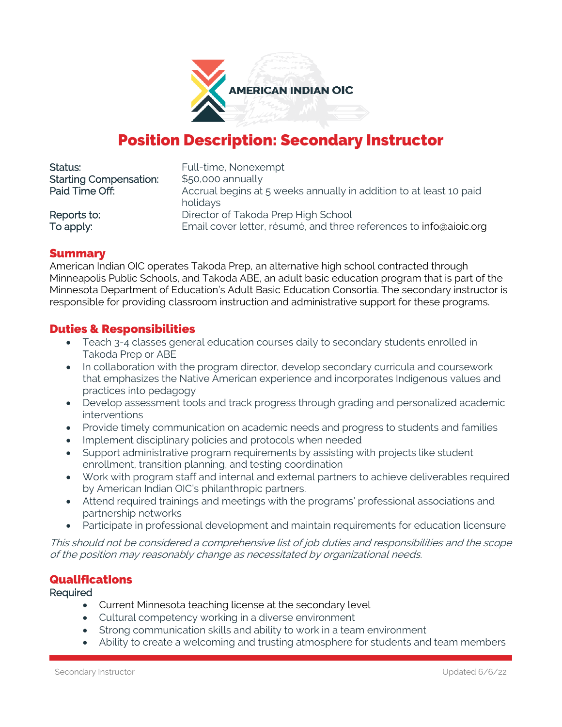

# Position Description: Secondary Instructor

| Status:                       | Full-time, Nonexempt                                                           |
|-------------------------------|--------------------------------------------------------------------------------|
| <b>Starting Compensation:</b> | \$50,000 annually                                                              |
| Paid Time Off:                | Accrual begins at 5 weeks annually in addition to at least 10 paid<br>holidays |
| Reports to:                   | Director of Takoda Prep High School                                            |
| To apply:                     | Email cover letter, résumé, and three references to info@aioic.org             |

## Summary

American Indian OIC operates Takoda Prep, an alternative high school contracted through Minneapolis Public Schools, and Takoda ABE, an adult basic education program that is part of the Minnesota Department of Education's Adult Basic Education Consortia. The secondary instructor is responsible for providing classroom instruction and administrative support for these programs.

# Duties & Responsibilities

- Teach 3-4 classes general education courses daily to secondary students enrolled in Takoda Prep or ABE
- In collaboration with the program director, develop secondary curricula and coursework that emphasizes the Native American experience and incorporates Indigenous values and practices into pedagogy
- Develop assessment tools and track progress through grading and personalized academic interventions
- Provide timely communication on academic needs and progress to students and families
- Implement disciplinary policies and protocols when needed
- Support administrative program requirements by assisting with projects like student enrollment, transition planning, and testing coordination
- Work with program staff and internal and external partners to achieve deliverables required by American Indian OIC's philanthropic partners.
- Attend required trainings and meetings with the programs' professional associations and partnership networks
- Participate in professional development and maintain requirements for education licensure

This should not be considered a comprehensive list of job duties and responsibilities and the scope of the position may reasonably change as necessitated by organizational needs.

## **Qualifications**

#### Required

- Current Minnesota teaching license at the secondary level
- Cultural competency working in a diverse environment
- Strong communication skills and ability to work in a team environment
- Ability to create a welcoming and trusting atmosphere for students and team members